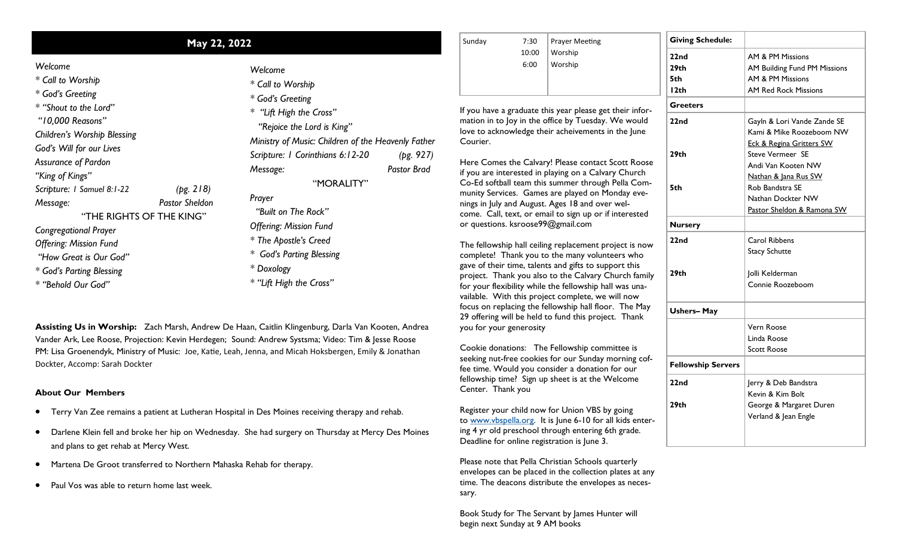## **May 22, 2022** Sunday 7:30

| Welcome |  |
|---------|--|
|---------|--|

- *\* Call to Worship \* God's Greeting*
- *\* "Shout to the Lord" "10,000 Reasons" Children's Worship Blessing*

*God's Will for our Lives Assurance of Pardon*

*"King of Kings"*

*Scripture: 1 Samuel 8:1-22 (pg. 218)*

*Message: Pastor Sheldon*

"THE RIGHTS OF THE KING"

*Congregational Prayer*

*Offering: Mission Fund*

*"How Great is Our God"*

*\* God's Parting Blessing*

*\* "Behold Our God"*

*Welcome \* Call to Worship \* God's Greeting \* "Lift High the Cross" "Rejoice the Lord is King" Ministry of Music: Children of the Heavenly Father Scripture: 1 Corinthians 6:12-20 (pg. 927) Message: Pastor Brad* "MORALITY" *Prayer "Built on The Rock" Offering: Mission Fund \* The Apostle's Creed \* God's Parting Blessing \* Doxology \* "Lift High the Cross"* 

**Assisting Us in Worship:** Zach Marsh, Andrew De Haan, Caitlin Klingenburg, Darla Van Kooten, Andrea Vander Ark, Lee Roose, Projection: Kevin Herdegen; Sound: Andrew Systsma; Video: Tim & Jesse Roose PM: Lisa Groenendyk, Ministry of Music: Joe, Katie, Leah, Jenna, and Micah Hoksbergen, Emily & Jonathan Dockter, Accomp: Sarah Dockter

## **About Our Members**

- Terry Van Zee remains a patient at Lutheran Hospital in Des Moines receiving therapy and rehab.
- Darlene Klein fell and broke her hip on Wednesday. She had surgery on Thursday at Mercy Des Moines and plans to get rehab at Mercy West.
- Martena De Groot transferred to Northern Mahaska Rehab for therapy.
- Paul Vos was able to return home last week.

| 7:30  | <b>Prayer Meeting</b> |
|-------|-----------------------|
| 10:00 | Worship               |
| 6:00  | Worship               |
|       |                       |
|       |                       |
|       |                       |

If you have a graduate this year please get their information in to Joy in the office by Tuesday. We would love to acknowledge their acheivements in the June Courier.

Here Comes the Calvary! Please contact Scott Roose if you are interested in playing on a Calvary Church Co-Ed softball team this summer through Pella Community Services. Games are played on Monday evenings in July and August. Ages 18 and over welcome. Call, text, or email to sign up or if interested or questions. ksroose99@gmail.com

The fellowship hall ceiling replacement project is now complete! Thank you to the many volunteers who gave of their time, talents and gifts to support this project. Thank you also to the Calvary Church family for your flexibility while the fellowship hall was unavailable. With this project complete, we will now focus on replacing the fellowship hall floor. The May 29 offering will be held to fund this project. Thank you for your generosity

Cookie donations: The Fellowship committee is seeking nut-free cookies for our Sunday morning coffee time. Would you consider a donation for our fellowship time? Sign up sheet is at the Welcome Center. Thank you

Register your child now for Union VBS by going to [www.vbspella.org.](http://www.vbspella.org/) It is June 6-10 for all kids entering 4 yr old preschool through entering 6th grade. Deadline for online registration is June 3.

Please note that Pella Christian Schools quarterly envelopes can be placed in the collection plates at any time. The deacons distribute the envelopes as necessary.

Book Study for The Servant by James Hunter will begin next Sunday at 9 AM books

| <b>Giving Schedule:</b>   |                                     |  |  |
|---------------------------|-------------------------------------|--|--|
| 22nd                      | AM & PM Missions                    |  |  |
| 29 <sub>th</sub>          | AM Building Fund PM Missions        |  |  |
| 5th                       | AM & PM Missions                    |  |  |
| I <sub>2th</sub>          | <b>AM Red Rock Missions</b>         |  |  |
| <b>Greeters</b>           |                                     |  |  |
| 22nd                      | Gayln & Lori Vande Zande SE         |  |  |
|                           | Kami & Mike Roozeboom NW            |  |  |
|                           | <b>Eck &amp; Regina Gritters SW</b> |  |  |
| 29 <sub>th</sub>          | <b>Steve Vermeer SE</b>             |  |  |
|                           | Andi Van Kooten NW                  |  |  |
|                           | Nathan & Jana Rus SW                |  |  |
| 5th                       | Rob Bandstra SE                     |  |  |
|                           | Nathan Dockter NW                   |  |  |
|                           | Pastor Sheldon & Ramona SW          |  |  |
| <b>Nursery</b>            |                                     |  |  |
| 22nd                      | Carol Ribbens                       |  |  |
|                           | <b>Stacy Schutte</b>                |  |  |
|                           |                                     |  |  |
| 29th                      | Jolli Kelderman                     |  |  |
|                           | Connie Roozeboom                    |  |  |
| <b>Ushers-May</b>         |                                     |  |  |
|                           | Vern Roose                          |  |  |
|                           | Linda Roose                         |  |  |
|                           | <b>Scott Roose</b>                  |  |  |
| <b>Fellowship Servers</b> |                                     |  |  |
| 22nd                      | Jerry & Deb Bandstra                |  |  |
|                           | Kevin & Kim Bolt                    |  |  |
|                           |                                     |  |  |
| 29 <sub>th</sub>          | George & Margaret Duren             |  |  |